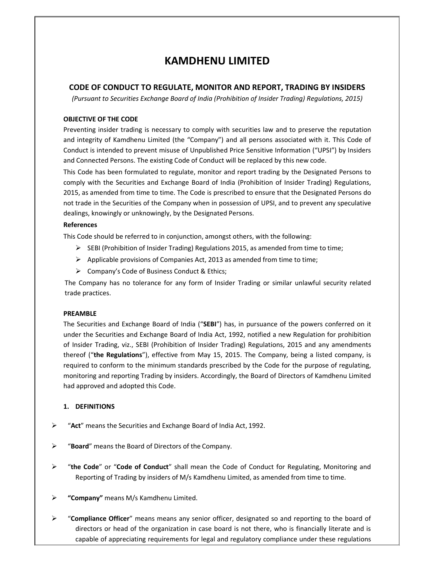# **KAMDHENU LIMITED**

# **CODE OF CONDUCT TO REGULATE, MONITOR AND REPORT, TRADING BY INSIDERS**

*(Pursuant to Securities Exchange Board of India (Prohibition of Insider Trading) Regulations, 2015)* 

#### **OBJECTIVE OF THE CODE**

Preventing insider trading is necessary to comply with securities law and to preserve the reputation and integrity of Kamdhenu Limited (the "Company") and all persons associated with it. This Code of Conduct is intended to prevent misuse of Unpublished Price Sensitive Information ("UPSI") by Insiders and Connected Persons. The existing Code of Conduct will be replaced by this new code.

This Code has been formulated to regulate, monitor and report trading by the Designated Persons to comply with the Securities and Exchange Board of India (Prohibition of Insider Trading) Regulations, 2015, as amended from time to time. The Code is prescribed to ensure that the Designated Persons do not trade in the Securities of the Company when in possession of UPSI, and to prevent any speculative dealings, knowingly or unknowingly, by the Designated Persons.

#### **References**

This Code should be referred to in conjunction, amongst others, with the following:

- $\triangleright$  SEBI (Prohibition of Insider Trading) Regulations 2015, as amended from time to time;
- $\triangleright$  Applicable provisions of Companies Act, 2013 as amended from time to time;
- $\triangleright$  Company's Code of Business Conduct & Ethics;

The Company has no tolerance for any form of Insider Trading or similar unlawful security related trade practices.

### **PREAMBLE**

The Securities and Exchange Board of India ("**SEBI**") has, in pursuance of the powers conferred on it under the Securities and Exchange Board of India Act, 1992, notified a new Regulation for prohibition of Insider Trading, viz., SEBI (Prohibition of Insider Trading) Regulations, 2015 and any amendments thereof ("**the Regulations**"), effective from May 15, 2015. The Company, being a listed company, is required to conform to the minimum standards prescribed by the Code for the purpose of regulating, monitoring and reporting Trading by insiders. Accordingly, the Board of Directors of Kamdhenu Limited had approved and adopted this Code.

### **1. DEFINITIONS**

- "**Act**" means the Securities and Exchange Board of India Act, 1992.
- "**Board**" means the Board of Directors of the Company.
- "**the Code**" or "**Code of Conduct**" shall mean the Code of Conduct for Regulating, Monitoring and Reporting of Trading by insiders of M/s Kamdhenu Limited, as amended from time to time.
- **"Company"** means M/s Kamdhenu Limited.
- "**Compliance Officer**" means means any senior officer, designated so and reporting to the board of directors or head of the organization in case board is not there, who is financially literate and is capable of appreciating requirements for legal and regulatory compliance under these regulations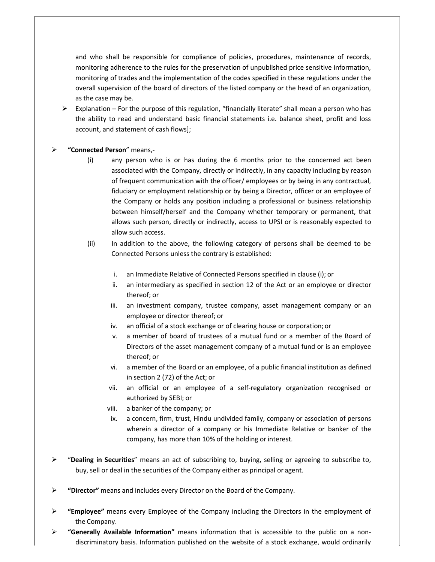and who shall be responsible for compliance of policies, procedures, maintenance of records, monitoring adherence to the rules for the preservation of unpublished price sensitive information, monitoring of trades and the implementation of the codes specified in these regulations under the overall supervision of the board of directors of the listed company or the head of an organization, as the case may be.

 $\triangleright$  Explanation – For the purpose of this regulation, "financially literate" shall mean a person who has the ability to read and understand basic financial statements i.e. balance sheet, profit and loss account, and statement of cash flows];

### **"Connected Person**" means,-

- (i) any person who is or has during the 6 months prior to the concerned act been associated with the Company, directly or indirectly, in any capacity including by reason of frequent communication with the officer/ employees or by being in any contractual, fiduciary or employment relationship or by being a Director, officer or an employee of the Company or holds any position including a professional or business relationship between himself/herself and the Company whether temporary or permanent, that allows such person, directly or indirectly, access to UPSI or is reasonably expected to allow such access.
- (ii) In addition to the above, the following category of persons shall be deemed to be Connected Persons unless the contrary is established:
	- i. an Immediate Relative of Connected Persons specified in clause (i); or
	- ii. an intermediary as specified in section 12 of the Act or an employee or director thereof; or
	- iii. an investment company, trustee company, asset management company or an employee or director thereof; or
	- iv. an official of a stock exchange or of clearing house or corporation; or
	- v. a member of board of trustees of a mutual fund or a member of the Board of Directors of the asset management company of a mutual fund or is an employee thereof; or
	- vi. a member of the Board or an employee, of a public financial institution as defined in section 2 (72) of the Act; or
	- vii. an official or an employee of a self-regulatory organization recognised or authorized by SEBI; or
	- viii. a banker of the company; or
	- ix. a concern, firm, trust, Hindu undivided family, company or association of persons wherein a director of a company or his Immediate Relative or banker of the company, has more than 10% of the holding or interest.
- "**Dealing in Securities**" means an act of subscribing to, buying, selling or agreeing to subscribe to, buy, sell or deal in the securities of the Company either as principal or agent.
- **"Director"** means and includes every Director on the Board of the Company.
- **"Employee"** means every Employee of the Company including the Directors in the employment of the Company.
- **"Generally Available Information"** means information that is accessible to the public on a nondiscriminatory basis. Information published on the website of a stock exchange, would ordinarily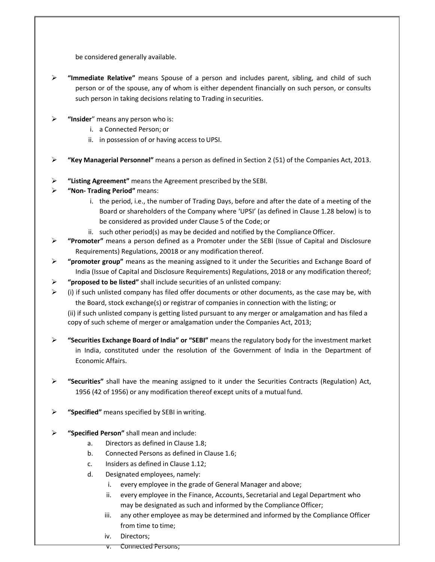be considered generally available.

- **"Immediate Relative"** means Spouse of a person and includes parent, sibling, and child of such person or of the spouse, any of whom is either dependent financially on such person, or consults such person in taking decisions relating to Trading in securities.
- **EXECUTE: "Insider**" means any person who is:
	- i. a Connected Person; or
	- ii. in possession of or having access to UPSI.
- **"Key Managerial Personnel"** means a person as defined in Section 2 (51) of the Companies Act, 2013.
- **"Listing Agreement"** means the Agreement prescribed by the SEBI.
- **"Non- Trading Period"** means:
	- i. the period, i.e., the number of Trading Days, before and after the date of a meeting of the Board or shareholders of the Company where 'UPSI' (as defined in Clause 1.28 below) is to be considered as provided under Clause 5 of the Code; or
	- ii. such other period(s) as may be decided and notified by the Compliance Officer.
- **"Promoter"** means a person defined as a Promoter under the SEBI (Issue of Capital and Disclosure Requirements) Regulations, 20018 or any modification thereof.
- **"promoter group"** means as the meaning assigned to it under the Securities and Exchange Board of India (Issue of Capital and Disclosure Requirements) Regulations, 2018 or any modification thereof;
- **"proposed to be listed"** shall include securities of an unlisted company:
- $\triangleright$  (i) if such unlisted company has filed offer documents or other documents, as the case may be, with the Board, stock exchange(s) or registrar of companies in connection with the listing; or

(ii) if such unlisted company is getting listed pursuant to any merger or amalgamation and has filed a copy of such scheme of merger or amalgamation under the Companies Act, 2013;

- **"Securities Exchange Board of India" or "SEBI"** means the regulatory body for the investment market in India, constituted under the resolution of the Government of India in the Department of Economic Affairs.
- **"Securities"** shall have the meaning assigned to it under the Securities Contracts (Regulation) Act, 1956 (42 of 1956) or any modification thereof except units of a mutual fund.
- **"Specified"** means specified by SEBI in writing.
- **"Specified Person"** shall mean and include:
	- a. Directors as defined in Clause 1.8;
	- b. Connected Persons as defined in Clause 1.6;
	- c. Insiders as defined in Clause 1.12;
	- d. Designated employees, namely:
		- i. every employee in the grade of General Manager and above;
		- ii. every employee in the Finance, Accounts, Secretarial and Legal Department who may be designated as such and informed by the Compliance Officer;
		- iii. any other employee as may be determined and informed by the Compliance Officer from time to time;
		- iv. Directors;
		- v. Connected Persons;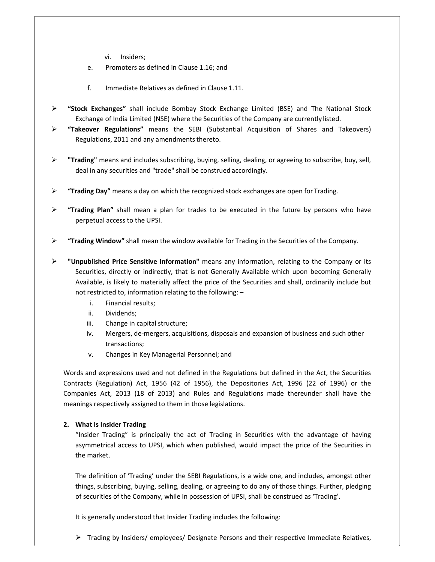- vi. Insiders;
- e. Promoters as defined in Clause 1.16; and
- f. Immediate Relatives as defined in Clause 1.11.
- **"Stock Exchanges"** shall include Bombay Stock Exchange Limited (BSE) and The National Stock Exchange of India Limited (NSE) where the Securities of the Company are currently listed.
- **"Takeover Regulations"** means the SEBI (Substantial Acquisition of Shares and Takeovers) Regulations, 2011 and any amendments thereto.
- **"Trading"** means and includes subscribing, buying, selling, dealing, or agreeing to subscribe, buy, sell, deal in any securities and "trade" shall be construed accordingly.
- **"Trading Day"** means a day on which the recognized stock exchanges are open for Trading.
- **"Trading Plan"** shall mean a plan for trades to be executed in the future by persons who have perpetual access to the UPSI.
- **"Trading Window"** shall mean the window available for Trading in the Securities of the Company.
- **"Unpublished Price Sensitive Information"** means any information, relating to the Company or its Securities, directly or indirectly, that is not Generally Available which upon becoming Generally Available, is likely to materially affect the price of the Securities and shall, ordinarily include but not restricted to, information relating to the following: –
	- i. Financial results;
	- ii. Dividends;
	- iii. Change in capital structure;
	- iv. Mergers, de-mergers, acquisitions, disposals and expansion of business and such other transactions;
	- v. Changes in Key Managerial Personnel; and

Words and expressions used and not defined in the Regulations but defined in the Act, the Securities Contracts (Regulation) Act, 1956 (42 of 1956), the Depositories Act, 1996 (22 of 1996) or the Companies Act, 2013 (18 of 2013) and Rules and Regulations made thereunder shall have the meanings respectively assigned to them in those legislations.

### **2. What Is Insider Trading**

"Insider Trading" is principally the act of Trading in Securities with the advantage of having asymmetrical access to UPSI, which when published, would impact the price of the Securities in the market.

The definition of 'Trading' under the SEBI Regulations, is a wide one, and includes, amongst other things, subscribing, buying, selling, dealing, or agreeing to do any of those things. Further, pledging of securities of the Company, while in possession of UPSI, shall be construed as 'Trading'.

It is generally understood that Insider Trading includes the following:

▶ Trading by Insiders/ employees/ Designate Persons and their respective Immediate Relatives,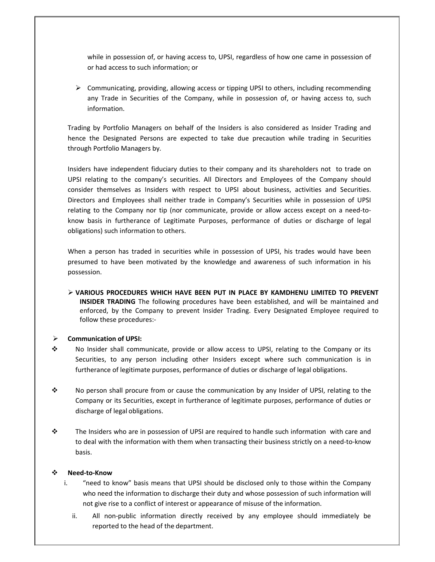while in possession of, or having access to, UPSI, regardless of how one came in possession of or had access to such information; or

 $\triangleright$  Communicating, providing, allowing access or tipping UPSI to others, including recommending any Trade in Securities of the Company, while in possession of, or having access to, such information.

Trading by Portfolio Managers on behalf of the Insiders is also considered as Insider Trading and hence the Designated Persons are expected to take due precaution while trading in Securities through Portfolio Managers by.

Insiders have independent fiduciary duties to their company and its shareholders not to trade on UPSI relating to the company's securities. All Directors and Employees of the Company should consider themselves as Insiders with respect to UPSI about business, activities and Securities. Directors and Employees shall neither trade in Company's Securities while in possession of UPSI relating to the Company nor tip (nor communicate, provide or allow access except on a need-toknow basis in furtherance of Legitimate Purposes, performance of duties or discharge of legal obligations) such information to others.

When a person has traded in securities while in possession of UPSI, his trades would have been presumed to have been motivated by the knowledge and awareness of such information in his possession.

 **VARIOUS PROCEDURES WHICH HAVE BEEN PUT IN PLACE BY KAMDHENU LIMITED TO PREVENT INSIDER TRADING** The following procedures have been established, and will be maintained and enforced, by the Company to prevent Insider Trading. Every Designated Employee required to follow these procedures:-

#### **Communication of UPSI:**

- No Insider shall communicate, provide or allow access to UPSI, relating to the Company or its Securities, to any person including other Insiders except where such communication is in furtherance of legitimate purposes, performance of duties or discharge of legal obligations.
- No person shall procure from or cause the communication by any Insider of UPSI, relating to the Company or its Securities, except in furtherance of legitimate purposes, performance of duties or discharge of legal obligations.
- $\div$  The Insiders who are in possession of UPSI are required to handle such information with care and to deal with the information with them when transacting their business strictly on a need-to-know basis.

#### **Need-to-Know**

- i. "need to know" basis means that UPSI should be disclosed only to those within the Company who need the information to discharge their duty and whose possession of such information will not give rise to a conflict of interest or appearance of misuse of the information.
	- ii. All non-public information directly received by any employee should immediately be reported to the head of the department.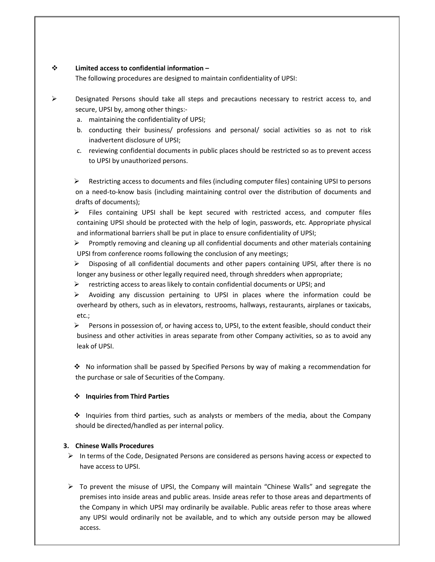### **Limited access to confidential information –**

The following procedures are designed to maintain confidentiality of UPSI:

- $\triangleright$  Designated Persons should take all steps and precautions necessary to restrict access to, and secure, UPSI by, among other things:
	- a. maintaining the confidentiality of UPSI;
	- b. conducting their business/ professions and personal/ social activities so as not to risk inadvertent disclosure of UPSI;
	- c. reviewing confidential documents in public places should be restricted so as to prevent access to UPSI by unauthorized persons.

 $\triangleright$  Restricting access to documents and files (including computer files) containing UPSI to persons on a need-to-know basis (including maintaining control over the distribution of documents and drafts of documents);

 $\triangleright$  Files containing UPSI shall be kept secured with restricted access, and computer files containing UPSI should be protected with the help of login, passwords, etc. Appropriate physical and informational barriers shall be put in place to ensure confidentiality of UPSI;

 $\triangleright$  Promptly removing and cleaning up all confidential documents and other materials containing UPSI from conference rooms following the conclusion of any meetings;

 $\triangleright$  Disposing of all confidential documents and other papers containing UPSI, after there is no longer any business or other legally required need, through shredders when appropriate;

- $\triangleright$  restricting access to areas likely to contain confidential documents or UPSI; and
- $\triangleright$  Avoiding any discussion pertaining to UPSI in places where the information could be overheard by others, such as in elevators, restrooms, hallways, restaurants, airplanes or taxicabs, etc.;

 $\triangleright$  Persons in possession of, or having access to, UPSI, to the extent feasible, should conduct their business and other activities in areas separate from other Company activities, so as to avoid any leak of UPSI.

 No information shall be passed by Specified Persons by way of making a recommendation for the purchase or sale of Securities of the Company.

### **Inquiries from Third Parties**

 $\div$  Inquiries from third parties, such as analysts or members of the media, about the Company should be directed/handled as per internal policy.

# **3. Chinese Walls Procedures**

- $\triangleright$  In terms of the Code, Designated Persons are considered as persons having access or expected to have access to UPSI.
- $\triangleright$  To prevent the misuse of UPSI, the Company will maintain "Chinese Walls" and segregate the premises into inside areas and public areas. Inside areas refer to those areas and departments of the Company in which UPSI may ordinarily be available. Public areas refer to those areas where any UPSI would ordinarily not be available, and to which any outside person may be allowed access.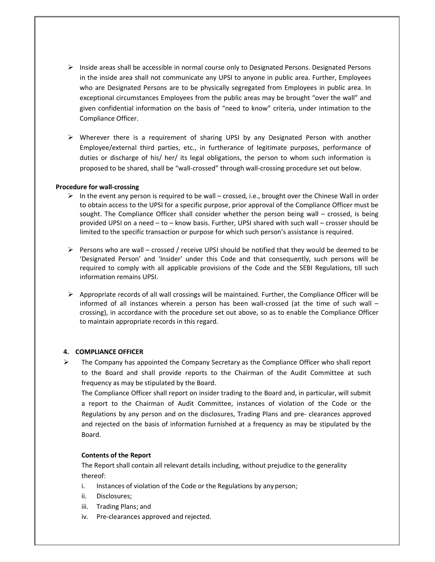- $\triangleright$  Inside areas shall be accessible in normal course only to Designated Persons. Designated Persons in the inside area shall not communicate any UPSI to anyone in public area. Further, Employees who are Designated Persons are to be physically segregated from Employees in public area. In exceptional circumstances Employees from the public areas may be brought "over the wall" and given confidential information on the basis of "need to know" criteria, under intimation to the Compliance Officer.
- $\triangleright$  Wherever there is a requirement of sharing UPSI by any Designated Person with another Employee/external third parties, etc., in furtherance of legitimate purposes, performance of duties or discharge of his/ her/ its legal obligations, the person to whom such information is proposed to be shared, shall be "wall-crossed" through wall-crossing procedure set out below.

### **Procedure for wall-crossing**

- $\triangleright$  In the event any person is required to be wall crossed, i.e., brought over the Chinese Wall in order to obtain access to the UPSI for a specific purpose, prior approval of the Compliance Officer must be sought. The Compliance Officer shall consider whether the person being wall – crossed, is being provided UPSI on a need – to – know basis. Further, UPSI shared with such wall – crosser should be limited to the specific transaction or purpose for which such person's assistance is required.
- $\triangleright$  Persons who are wall crossed / receive UPSI should be notified that they would be deemed to be 'Designated Person' and 'Insider' under this Code and that consequently, such persons will be required to comply with all applicable provisions of the Code and the SEBI Regulations, till such information remains UPSI.
- $\triangleright$  Appropriate records of all wall crossings will be maintained. Further, the Compliance Officer will be informed of all instances wherein a person has been wall-crossed (at the time of such wall – crossing), in accordance with the procedure set out above, so as to enable the Compliance Officer to maintain appropriate records in this regard.

#### **4. COMPLIANCE OFFICER**

 $\triangleright$  The Company has appointed the Company Secretary as the Compliance Officer who shall report to the Board and shall provide reports to the Chairman of the Audit Committee at such frequency as may be stipulated by the Board.

The Compliance Officer shall report on insider trading to the Board and, in particular, will submit a report to the Chairman of Audit Committee, instances of violation of the Code or the Regulations by any person and on the disclosures, Trading Plans and pre- clearances approved and rejected on the basis of information furnished at a frequency as may be stipulated by the Board.

#### **Contents of the Report**

The Report shall contain all relevant details including, without prejudice to the generality thereof:

- i. Instances of violation of the Code or the Regulations by any person;
- ii. Disclosures;
- iii. Trading Plans; and
- iv. Pre-clearances approved and rejected.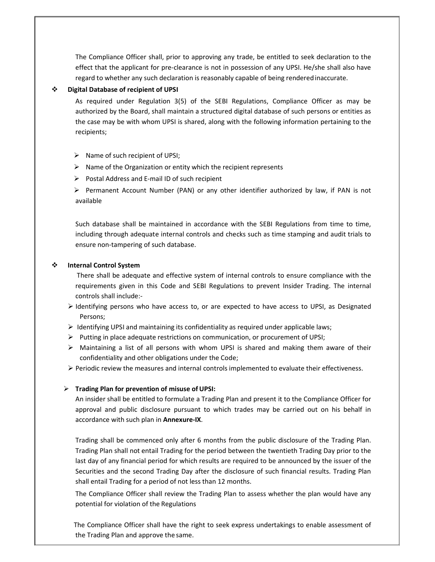The Compliance Officer shall, prior to approving any trade, be entitled to seek declaration to the effect that the applicant for pre-clearance is not in possession of any UPSI. He/she shall also have regard to whether any such declaration is reasonably capable of being rendered inaccurate.

#### **Digital Database of recipient of UPSI**

As required under Regulation 3(5) of the SEBI Regulations, Compliance Officer as may be authorized by the Board, shall maintain a structured digital database of such persons or entities as the case may be with whom UPSI is shared, along with the following information pertaining to the recipients;

 $\triangleright$  Name of such recipient of UPSI;

- $\triangleright$  Name of the Organization or entity which the recipient represents
- $\triangleright$  Postal Address and E-mail ID of such recipient

 $\triangleright$  Permanent Account Number (PAN) or any other identifier authorized by law, if PAN is not available

Such database shall be maintained in accordance with the SEBI Regulations from time to time, including through adequate internal controls and checks such as time stamping and audit trials to ensure non-tampering of such database.

### **Internal Control System**

There shall be adequate and effective system of internal controls to ensure compliance with the requirements given in this Code and SEBI Regulations to prevent Insider Trading. The internal controls shall include:-

- $\triangleright$  Identifying persons who have access to, or are expected to have access to UPSI, as Designated Persons;
- $\triangleright$  Identifying UPSI and maintaining its confidentiality as required under applicable laws;
- $\triangleright$  Putting in place adequate restrictions on communication, or procurement of UPSI;
- $\triangleright$  Maintaining a list of all persons with whom UPSI is shared and making them aware of their confidentiality and other obligations under the Code;
- $\triangleright$  Periodic review the measures and internal controls implemented to evaluate their effectiveness.

#### **Trading Plan for prevention of misuse of UPSI:**

An insider shall be entitled to formulate a Trading Plan and present it to the Compliance Officer for approval and public disclosure pursuant to which trades may be carried out on his behalf in accordance with such plan in **Annexure-IX**.

Trading shall be commenced only after 6 months from the public disclosure of the Trading Plan. Trading Plan shall not entail Trading for the period between the twentieth Trading Day prior to the last day of any financial period for which results are required to be announced by the issuer of the Securities and the second Trading Day after the disclosure of such financial results. Trading Plan shall entail Trading for a period of not less than 12 months.

The Compliance Officer shall review the Trading Plan to assess whether the plan would have any potential for violation of the Regulations

The Compliance Officer shall have the right to seek express undertakings to enable assessment of the Trading Plan and approve the same.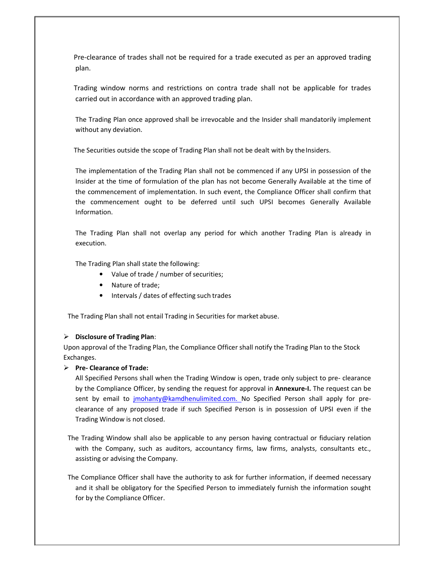Pre-clearance of trades shall not be required for a trade executed as per an approved trading plan.

Trading window norms and restrictions on contra trade shall not be applicable for trades carried out in accordance with an approved trading plan.

The Trading Plan once approved shall be irrevocable and the Insider shall mandatorily implement without any deviation.

The Securities outside the scope of Trading Plan shall not be dealt with by the Insiders.

The implementation of the Trading Plan shall not be commenced if any UPSI in possession of the Insider at the time of formulation of the plan has not become Generally Available at the time of the commencement of implementation. In such event, the Compliance Officer shall confirm that the commencement ought to be deferred until such UPSI becomes Generally Available Information.

The Trading Plan shall not overlap any period for which another Trading Plan is already in execution.

The Trading Plan shall state the following:

- Value of trade / number of securities;
- Nature of trade;
- Intervals / dates of effecting such trades

The Trading Plan shall not entail Trading in Securities for market abuse.

### **Disclosure of Trading Plan**:

Upon approval of the Trading Plan, the Compliance Officer shall notify the Trading Plan to the Stock Exchanges.

### **Pre- Clearance of Trade:**

All Specified Persons shall when the Trading Window is open, trade only subject to pre- clearance by the Compliance Officer, by sending the request for approval in **Annexure-I.** The request can be sent by email to jmohanty@kamdhenulimited.com. No Specified Person shall apply for preclearance of any proposed trade if such Specified Person is in possession of UPSI even if the Trading Window is not closed.

The Trading Window shall also be applicable to any person having contractual or fiduciary relation with the Company, such as auditors, accountancy firms, law firms, analysts, consultants etc., assisting or advising the Company.

The Compliance Officer shall have the authority to ask for further information, if deemed necessary and it shall be obligatory for the Specified Person to immediately furnish the information sought for by the Compliance Officer.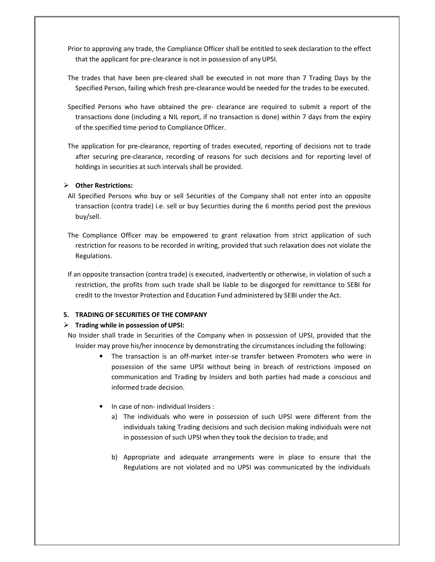Prior to approving any trade, the Compliance Officer shall be entitled to seek declaration to the effect that the applicant for pre-clearance is not in possession of any UPSI.

The trades that have been pre-cleared shall be executed in not more than 7 Trading Days by the Specified Person, failing which fresh pre-clearance would be needed for the trades to be executed.

- Specified Persons who have obtained the pre- clearance are required to submit a report of the transactions done (including a NIL report, if no transaction is done) within 7 days from the expiry of the specified time period to Compliance Officer.
- The application for pre-clearance, reporting of trades executed, reporting of decisions not to trade after securing pre-clearance, recording of reasons for such decisions and for reporting level of holdings in securities at such intervals shall be provided.

### **Other Restrictions:**

- All Specified Persons who buy or sell Securities of the Company shall not enter into an opposite transaction (contra trade) i.e. sell or buy Securities during the 6 months period post the previous buy/sell.
- The Compliance Officer may be empowered to grant relaxation from strict application of such restriction for reasons to be recorded in writing, provided that such relaxation does not violate the Regulations.
- If an opposite transaction (contra trade) is executed, inadvertently or otherwise, in violation of such a restriction, the profits from such trade shall be liable to be disgorged for remittance to SEBI for credit to the Investor Protection and Education Fund administered by SEBI under the Act.

# **5. TRADING OF SECURITIES OF THE COMPANY**

# **Trading while in possession of UPSI:**

No Insider shall trade in Securities of the Company when in possession of UPSI, provided that the Insider may prove his/her innocence by demonstrating the circumstances including the following:

- The transaction is an off-market inter-se transfer between Promoters who were in possession of the same UPSI without being in breach of restrictions imposed on communication and Trading by Insiders and both parties had made a conscious and informed trade decision.
- In case of non- individual Insiders :
	- a) The individuals who were in possession of such UPSI were different from the individuals taking Trading decisions and such decision making individuals were not in possession of such UPSI when they took the decision to trade; and
	- b) Appropriate and adequate arrangements were in place to ensure that the Regulations are not violated and no UPSI was communicated by the individuals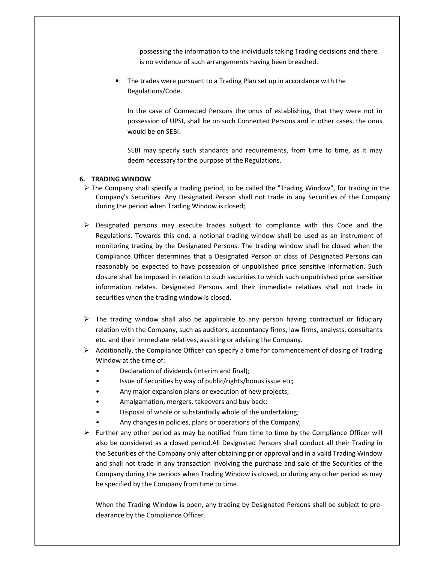possessing the information to the individuals taking Trading decisions and there is no evidence of such arrangements having been breached.

The trades were pursuant to a Trading Plan set up in accordance with the Regulations/Code.

In the case of Connected Persons the onus of establishing, that they were not in possession of UPSI, shall be on such Connected Persons and in other cases, the onus would be on SEBI.

SEBI may specify such standards and requirements, from time to time, as it may deem necessary for the purpose of the Regulations.

### **6. TRADING WINDOW**

- $\triangleright$  The Company shall specify a trading period, to be called the "Trading Window", for trading in the Company's Securities. Any Designated Person shall not trade in any Securities of the Company during the period when Trading Window is closed;
- $\triangleright$  Designated persons may execute trades subject to compliance with this Code and the Regulations. Towards this end, a notional trading window shall be used as an instrument of monitoring trading by the Designated Persons. The trading window shall be closed when the Compliance Officer determines that a Designated Person or class of Designated Persons can reasonably be expected to have possession of unpublished price sensitive information. Such closure shall be imposed in relation to such securities to which such unpublished price sensitive information relates. Designated Persons and their immediate relatives shall not trade in securities when the trading window is closed.
- $\triangleright$  The trading window shall also be applicable to any person having contractual or fiduciary relation with the Company, such as auditors, accountancy firms, law firms, analysts, consultants etc. and their immediate relatives, assisting or advising the Company.
- $\triangleright$  Additionally, the Compliance Officer can specify a time for commencement of closing of Trading Window at the time of:
	- Declaration of dividends (interim and final);
	- Issue of Securities by way of public/rights/bonus issue etc;
	- Any major expansion plans or execution of new projects;
	- Amalgamation, mergers, takeovers and buy back;
	- Disposal of whole or substantially whole of the undertaking;
	- Any changes in policies, plans or operations of the Company;
- $\triangleright$  Further any other period as may be notified from time to time by the Compliance Officer will also be considered as a closed period.All Designated Persons shall conduct all their Trading in the Securities of the Company only after obtaining prior approval and in a valid Trading Window and shall not trade in any transaction involving the purchase and sale of the Securities of the Company during the periods when Trading Window is closed, or during any other period as may be specified by the Company from time to time.

When the Trading Window is open, any trading by Designated Persons shall be subject to preclearance by the Compliance Officer.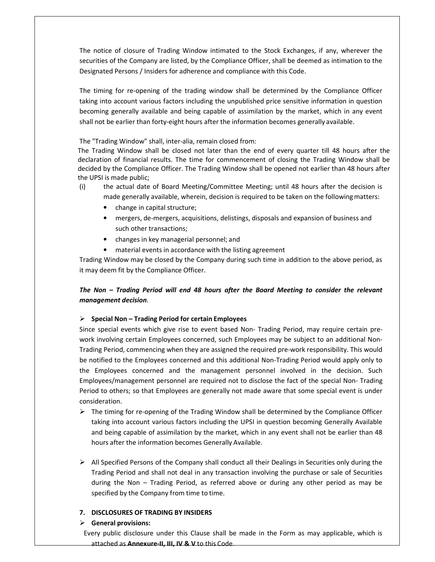The notice of closure of Trading Window intimated to the Stock Exchanges, if any, wherever the securities of the Company are listed, by the Compliance Officer, shall be deemed as intimation to the Designated Persons / Insiders for adherence and compliance with this Code.

The timing for re-opening of the trading window shall be determined by the Compliance Officer taking into account various factors including the unpublished price sensitive information in question becoming generally available and being capable of assimilation by the market, which in any event shall not be earlier than forty-eight hours after the information becomes generally available.

The "Trading Window" shall, inter-alia, remain closed from:

The Trading Window shall be closed not later than the end of every quarter till 48 hours after the declaration of financial results. The time for commencement of closing the Trading Window shall be decided by the Compliance Officer. The Trading Window shall be opened not earlier than 48 hours after the UPSI is made public;

- (i) the actual date of Board Meeting/Committee Meeting; until 48 hours after the decision is made generally available, wherein, decision is required to be taken on the following matters:
	- change in capital structure;
	- mergers, de-mergers, acquisitions, delistings, disposals and expansion of business and such other transactions;
	- changes in key managerial personnel; and
	- material events in accordance with the listing agreement

Trading Window may be closed by the Company during such time in addition to the above period, as it may deem fit by the Compliance Officer.

# *The Non – Trading Period will end 48 hours after the Board Meeting to consider the relevant management decision*.

# **Special Non – Trading Period for certain Employees**

Since special events which give rise to event based Non- Trading Period, may require certain prework involving certain Employees concerned, such Employees may be subject to an additional Non-Trading Period, commencing when they are assigned the required pre-work responsibility. This would be notified to the Employees concerned and this additional Non-Trading Period would apply only to the Employees concerned and the management personnel involved in the decision. Such Employees/management personnel are required not to disclose the fact of the special Non- Trading Period to others; so that Employees are generally not made aware that some special event is under consideration.

- $\triangleright$  The timing for re-opening of the Trading Window shall be determined by the Compliance Officer taking into account various factors including the UPSI in question becoming Generally Available and being capable of assimilation by the market, which in any event shall not be earlier than 48 hours after the information becomes Generally Available.
- $\triangleright$  All Specified Persons of the Company shall conduct all their Dealings in Securities only during the Trading Period and shall not deal in any transaction involving the purchase or sale of Securities during the Non – Trading Period, as referred above or during any other period as may be specified by the Company from time to time.

# **7. DISCLOSURES OF TRADING BY INSIDERS**

# **General provisions:**

Every public disclosure under this Clause shall be made in the Form as may applicable, which is attached as **Annexure-II, III, IV & V** to this Code.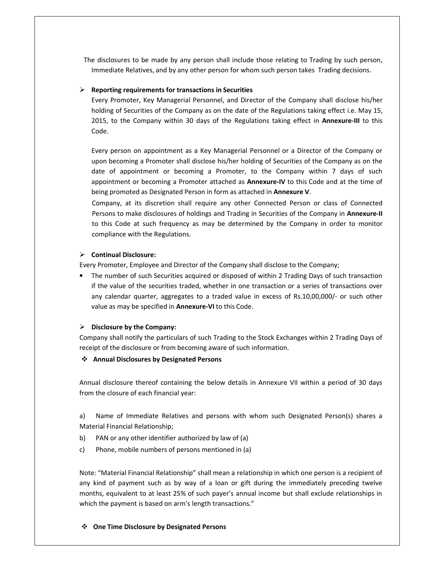The disclosures to be made by any person shall include those relating to Trading by such person, Immediate Relatives, and by any other person for whom such person takes Trading decisions.

### **Reporting requirements for transactions in Securities**

Every Promoter, Key Managerial Personnel, and Director of the Company shall disclose his/her holding of Securities of the Company as on the date of the Regulations taking effect i.e. May 15, 2015, to the Company within 30 days of the Regulations taking effect in **Annexure-III** to this Code.

Every person on appointment as a Key Managerial Personnel or a Director of the Company or upon becoming a Promoter shall disclose his/her holding of Securities of the Company as on the date of appointment or becoming a Promoter, to the Company within 7 days of such appointment or becoming a Promoter attached as **Annexure-IV** to this Code and at the time of being promoted as Designated Person in form as attached in **Annexure V**.

Company, at its discretion shall require any other Connected Person or class of Connected Persons to make disclosures of holdings and Trading in Securities of the Company in **Annexure-II**  to this Code at such frequency as may be determined by the Company in order to monitor compliance with the Regulations.

### **Continual Disclosure:**

Every Promoter, Employee and Director of the Company shall disclose to the Company;

• The number of such Securities acquired or disposed of within 2 Trading Days of such transaction if the value of the securities traded, whether in one transaction or a series of transactions over any calendar quarter, aggregates to a traded value in excess of Rs.10,00,000/- or such other value as may be specified in **Annexure-VI** to this Code.

# **Disclosure by the Company:**

Company shall notify the particulars of such Trading to the Stock Exchanges within 2 Trading Days of receipt of the disclosure or from becoming aware of such information.

### **Annual Disclosures by Designated Persons**

Annual disclosure thereof containing the below details in Annexure VII within a period of 30 days from the closure of each financial year:

a) Name of Immediate Relatives and persons with whom such Designated Person(s) shares a Material Financial Relationship;

- b) PAN or any other identifier authorized by law of (a)
- c) Phone, mobile numbers of persons mentioned in (a)

Note: "Material Financial Relationship" shall mean a relationship in which one person is a recipient of any kind of payment such as by way of a loan or gift during the immediately preceding twelve months, equivalent to at least 25% of such payer's annual income but shall exclude relationships in which the payment is based on arm's length transactions."

### **One Time Disclosure by Designated Persons**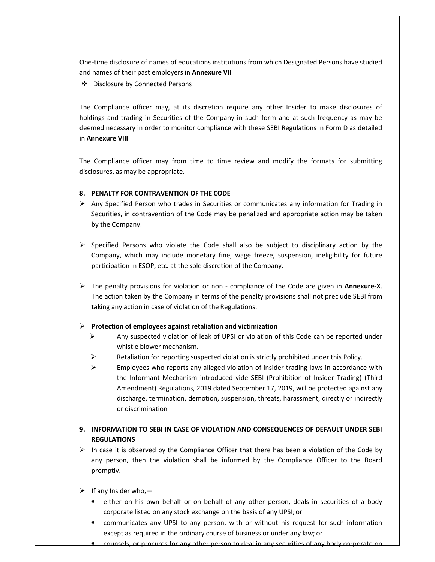One-time disclosure of names of educations institutions from which Designated Persons have studied and names of their past employers in **Annexure VII**

Disclosure by Connected Persons

The Compliance officer may, at its discretion require any other Insider to make disclosures of holdings and trading in Securities of the Company in such form and at such frequency as may be deemed necessary in order to monitor compliance with these SEBI Regulations in Form D as detailed in **Annexure VIII**

The Compliance officer may from time to time review and modify the formats for submitting disclosures, as may be appropriate.

### **8. PENALTY FOR CONTRAVENTION OF THE CODE**

- $\triangleright$  Any Specified Person who trades in Securities or communicates any information for Trading in Securities, in contravention of the Code may be penalized and appropriate action may be taken by the Company.
- $\triangleright$  Specified Persons who violate the Code shall also be subject to disciplinary action by the Company, which may include monetary fine, wage freeze, suspension, ineligibility for future participation in ESOP, etc. at the sole discretion of the Company.
- The penalty provisions for violation or non compliance of the Code are given in **Annexure-X**. The action taken by the Company in terms of the penalty provisions shall not preclude SEBI from taking any action in case of violation of the Regulations.

### **Protection of employees against retaliation and victimization**

- $\triangleright$  Any suspected violation of leak of UPSI or violation of this Code can be reported under whistle blower mechanism.
- Retaliation for reporting suspected violation is strictly prohibited under this Policy.
- $\triangleright$  Employees who reports any alleged violation of insider trading laws in accordance with the Informant Mechanism introduced vide SEBI (Prohibition of Insider Trading) (Third Amendment) Regulations, 2019 dated September 17, 2019, will be protected against any discharge, termination, demotion, suspension, threats, harassment, directly or indirectly or discrimination

# **9. INFORMATION TO SEBI IN CASE OF VIOLATION AND CONSEQUENCES OF DEFAULT UNDER SEBI REGULATIONS**

- $\triangleright$  In case it is observed by the Compliance Officer that there has been a violation of the Code by any person, then the violation shall be informed by the Compliance Officer to the Board promptly.
- $\triangleright$  If any Insider who,
	- either on his own behalf or on behalf of any other person, deals in securities of a body corporate listed on any stock exchange on the basis of any UPSI; or
	- communicates any UPSI to any person, with or without his request for such information except as required in the ordinary course of business or under any law; or
	- counsels, or procures for any other person to deal in any securities of any body corporate on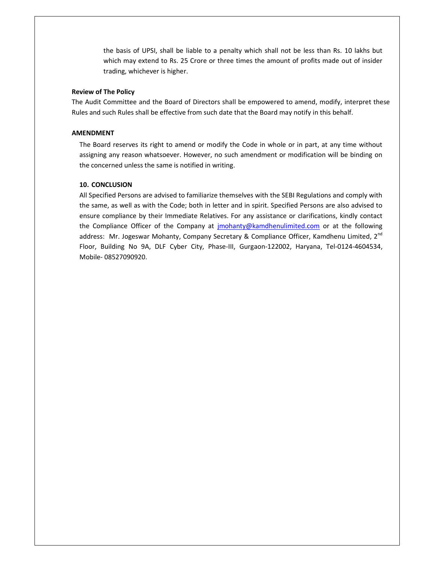the basis of UPSI, shall be liable to a penalty which shall not be less than Rs. 10 lakhs but which may extend to Rs. 25 Crore or three times the amount of profits made out of insider trading, whichever is higher.

#### **Review of The Policy**

The Audit Committee and the Board of Directors shall be empowered to amend, modify, interpret these Rules and such Rules shall be effective from such date that the Board may notify in this behalf.

#### **AMENDMENT**

The Board reserves its right to amend or modify the Code in whole or in part, at any time without assigning any reason whatsoever. However, no such amendment or modification will be binding on the concerned unless the same is notified in writing.

#### **10. CONCLUSION**

All Specified Persons are advised to familiarize themselves with the SEBI Regulations and comply with the same, as well as with the Code; both in letter and in spirit. Specified Persons are also advised to ensure compliance by their Immediate Relatives. For any assistance or clarifications, kindly contact the Compliance Officer of the Company at *imohanty@kamdhenulimited.com* or at the following address: Mr. Jogeswar Mohanty, Company Secretary & Compliance Officer, Kamdhenu Limited, 2<sup>nd</sup> Floor, Building No 9A, DLF Cyber City, Phase-III, Gurgaon-122002, Haryana, Tel-0124-4604534, Mobile- 08527090920.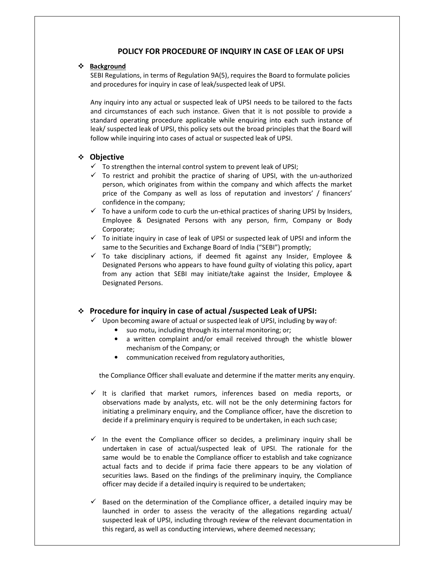### **POLICY FOR PROCEDURE OF INQUIRY IN CASE OF LEAK OF UPSI**

#### **Background**

SEBI Regulations, in terms of Regulation 9A(5), requires the Board to formulate policies and procedures for inquiry in case of leak/suspected leak of UPSI.

Any inquiry into any actual or suspected leak of UPSI needs to be tailored to the facts and circumstances of each such instance. Given that it is not possible to provide a standard operating procedure applicable while enquiring into each such instance of leak/ suspected leak of UPSI, this policy sets out the broad principles that the Board will follow while inquiring into cases of actual or suspected leak of UPSI.

### **Objective**

- $\checkmark$  To strengthen the internal control system to prevent leak of UPSI;
- $\checkmark$  To restrict and prohibit the practice of sharing of UPSI, with the un-authorized person, which originates from within the company and which affects the market price of the Company as well as loss of reputation and investors' / financers' confidence in the company;
- $\checkmark$  To have a uniform code to curb the un-ethical practices of sharing UPSI by Insiders, Employee & Designated Persons with any person, firm, Company or Body Corporate;
- $\checkmark$  To initiate inquiry in case of leak of UPSI or suspected leak of UPSI and inform the same to the Securities and Exchange Board of India ("SEBI") promptly;
- $\checkmark$  To take disciplinary actions, if deemed fit against any Insider, Employee & Designated Persons who appears to have found guilty of violating this policy, apart from any action that SEBI may initiate/take against the Insider, Employee & Designated Persons.

# **Procedure for inquiry in case of actual /suspected Leak of UPSI:**

- Upon becoming aware of actual or suspected leak of UPSI, including by way of:
	- suo motu, including through its internal monitoring; or;
	- a written complaint and/or email received through the whistle blower mechanism of the Company; or
	- communication received from regulatory authorities,

the Compliance Officer shall evaluate and determine if the matter merits any enquiry.

- $\checkmark$  It is clarified that market rumors, inferences based on media reports, or observations made by analysts, etc. will not be the only determining factors for initiating a preliminary enquiry, and the Compliance officer, have the discretion to decide if a preliminary enquiry is required to be undertaken, in each such case;
- $\checkmark$  In the event the Compliance officer so decides, a preliminary inquiry shall be undertaken in case of actual/suspected leak of UPSI. The rationale for the same would be to enable the Compliance officer to establish and take cognizance actual facts and to decide if prima facie there appears to be any violation of securities laws. Based on the findings of the preliminary inquiry, the Compliance officer may decide if a detailed inquiry is required to be undertaken;
- $\checkmark$  Based on the determination of the Compliance officer, a detailed inquiry may be launched in order to assess the veracity of the allegations regarding actual/ suspected leak of UPSI, including through review of the relevant documentation in this regard, as well as conducting interviews, where deemed necessary;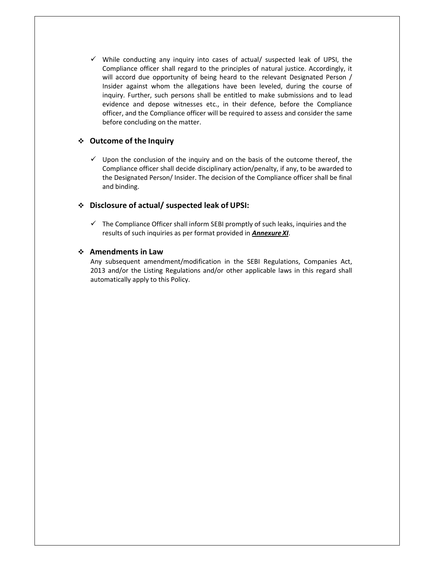$\checkmark$  While conducting any inquiry into cases of actual/ suspected leak of UPSI, the Compliance officer shall regard to the principles of natural justice. Accordingly, it will accord due opportunity of being heard to the relevant Designated Person / Insider against whom the allegations have been leveled, during the course of inquiry. Further, such persons shall be entitled to make submissions and to lead evidence and depose witnesses etc., in their defence, before the Compliance officer, and the Compliance officer will be required to assess and consider the same before concluding on the matter.

# **Outcome of the Inquiry**

 $\checkmark$  Upon the conclusion of the inquiry and on the basis of the outcome thereof, the Compliance officer shall decide disciplinary action/penalty, if any, to be awarded to the Designated Person/ Insider. The decision of the Compliance officer shall be final and binding.

# **Disclosure of actual/ suspected leak of UPSI:**

 $\checkmark$  The Compliance Officer shall inform SEBI promptly of such leaks, inquiries and the results of such inquiries as per format provided in *Annexure XI*.

# **Amendments in Law**

Any subsequent amendment/modification in the SEBI Regulations, Companies Act, 2013 and/or the Listing Regulations and/or other applicable laws in this regard shall automatically apply to this Policy.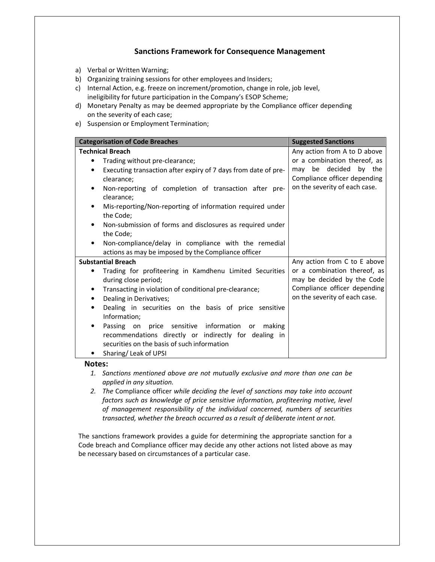# **Sanctions Framework for Consequence Management**

- a) Verbal or Written Warning;
- b) Organizing training sessions for other employees and Insiders;
- c) Internal Action, e.g. freeze on increment/promotion, change in role, job level, ineligibility for future participation in the Company's ESOP Scheme;
- d) Monetary Penalty as may be deemed appropriate by the Compliance officer depending on the severity of each case;
- e) Suspension or Employment Termination;

| <b>Categorisation of Code Breaches</b>                                                                                                                         | <b>Suggested Sanctions</b>                                 |
|----------------------------------------------------------------------------------------------------------------------------------------------------------------|------------------------------------------------------------|
| <b>Technical Breach</b>                                                                                                                                        | Any action from A to D above                               |
| Trading without pre-clearance;                                                                                                                                 | or a combination thereof, as                               |
| Executing transaction after expiry of 7 days from date of pre-<br>٠                                                                                            | be decided<br>by the<br>may                                |
| clearance:                                                                                                                                                     | Compliance officer depending                               |
| Non-reporting of completion of transaction after pre-<br>٠                                                                                                     | on the severity of each case.                              |
| clearance;                                                                                                                                                     |                                                            |
| Mis-reporting/Non-reporting of information required under<br>٠                                                                                                 |                                                            |
| the Code;                                                                                                                                                      |                                                            |
| Non-submission of forms and disclosures as required under<br>٠                                                                                                 |                                                            |
| the Code;                                                                                                                                                      |                                                            |
| Non-compliance/delay in compliance with the remedial<br>٠                                                                                                      |                                                            |
| actions as may be imposed by the Compliance officer                                                                                                            |                                                            |
| <b>Substantial Breach</b>                                                                                                                                      | Any action from C to E above                               |
| Trading for profiteering in Kamdhenu Limited Securities<br>during close period;                                                                                | or a combination thereof, as<br>may be decided by the Code |
|                                                                                                                                                                | Compliance officer depending                               |
| Transacting in violation of conditional pre-clearance;<br>$\bullet$                                                                                            |                                                            |
| Dealing in Derivatives;<br>٠                                                                                                                                   | on the severity of each case.                              |
| Dealing in securities on the basis of price sensitive<br>٠<br>Information:                                                                                     |                                                            |
| Passing on price sensitive information<br>making<br>or<br>recommendations directly or indirectly for dealing in<br>securities on the basis of such information |                                                            |
| Sharing/Leak of UPSI                                                                                                                                           |                                                            |

#### **Notes:**

- *1. Sanctions mentioned above are not mutually exclusive and more than one can be applied in any situation.*
- *2. The* Compliance officer *while deciding the level of sanctions may take into account factors such as knowledge of price sensitive information, profiteering motive, level of management responsibility of the individual concerned, numbers of securities transacted, whether the breach occurred as a result of deliberate intent or not.*

The sanctions framework provides a guide for determining the appropriate sanction for a Code breach and Compliance officer may decide any other actions not listed above as may be necessary based on circumstances of a particular case.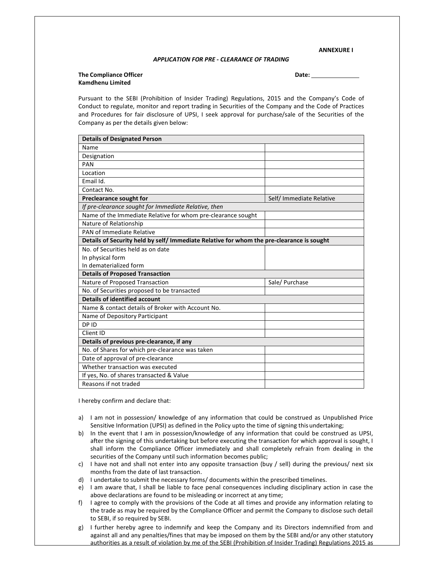**ANNEXURE I** 

#### *APPLICATION FOR PRE - CLEARANCE OF TRADING*

#### **The Compliance Officer Compliance Officer Compliance Compliance Compliance Compliance Compliance Compliance Compliance Compliance Compliance Compliance Compliance Compliance Compliance Compliance Compliance Compliance Com Kamdhenu Limited**

Pursuant to the SEBI (Prohibition of Insider Trading) Regulations, 2015 and the Company's Code of Conduct to regulate, monitor and report trading in Securities of the Company and the Code of Practices and Procedures for fair disclosure of UPSI, I seek approval for purchase/sale of the Securities of the Company as per the details given below:

| <b>Details of Designated Person</b>                                                       |                          |  |  |  |  |  |
|-------------------------------------------------------------------------------------------|--------------------------|--|--|--|--|--|
| Name                                                                                      |                          |  |  |  |  |  |
| Designation                                                                               |                          |  |  |  |  |  |
| PAN                                                                                       |                          |  |  |  |  |  |
| Location                                                                                  |                          |  |  |  |  |  |
| Email Id.                                                                                 |                          |  |  |  |  |  |
| Contact No.                                                                               |                          |  |  |  |  |  |
| Preclearance sought for                                                                   | Self/ Immediate Relative |  |  |  |  |  |
| If pre-clearance sought for Immediate Relative, then                                      |                          |  |  |  |  |  |
| Name of the Immediate Relative for whom pre-clearance sought                              |                          |  |  |  |  |  |
| Nature of Relationship                                                                    |                          |  |  |  |  |  |
| PAN of Immediate Relative                                                                 |                          |  |  |  |  |  |
| Details of Security held by self/ Immediate Relative for whom the pre-clearance is sought |                          |  |  |  |  |  |
| No. of Securities held as on date                                                         |                          |  |  |  |  |  |
| In physical form                                                                          |                          |  |  |  |  |  |
| In dematerialized form                                                                    |                          |  |  |  |  |  |
| <b>Details of Proposed Transaction</b>                                                    |                          |  |  |  |  |  |
| Nature of Proposed Transaction                                                            | Sale/ Purchase           |  |  |  |  |  |
| No. of Securities proposed to be transacted                                               |                          |  |  |  |  |  |
| <b>Details of identified account</b>                                                      |                          |  |  |  |  |  |
| Name & contact details of Broker with Account No.                                         |                          |  |  |  |  |  |
| Name of Depository Participant                                                            |                          |  |  |  |  |  |
| DP ID                                                                                     |                          |  |  |  |  |  |
| Client ID                                                                                 |                          |  |  |  |  |  |
| Details of previous pre-clearance, if any                                                 |                          |  |  |  |  |  |
| No. of Shares for which pre-clearance was taken                                           |                          |  |  |  |  |  |
| Date of approval of pre-clearance                                                         |                          |  |  |  |  |  |
| Whether transaction was executed                                                          |                          |  |  |  |  |  |
| If yes, No. of shares transacted & Value                                                  |                          |  |  |  |  |  |
| Reasons if not traded                                                                     |                          |  |  |  |  |  |

I hereby confirm and declare that:

- a) I am not in possession/ knowledge of any information that could be construed as Unpublished Price Sensitive Information (UPSI) as defined in the Policy upto the time of signing this undertaking;
- b) In the event that I am in possession/knowledge of any information that could be construed as UPSI, after the signing of this undertaking but before executing the transaction for which approval is sought, I shall inform the Compliance Officer immediately and shall completely refrain from dealing in the securities of the Company until such information becomes public;
- c) I have not and shall not enter into any opposite transaction (buy / sell) during the previous/ next six months from the date of last transaction.
- d) I undertake to submit the necessary forms/ documents within the prescribed timelines.
- e) I am aware that, I shall be liable to face penal consequences including disciplinary action in case the above declarations are found to be misleading or incorrect at any time;
- f) I agree to comply with the provisions of the Code at all times and provide any information relating to the trade as may be required by the Compliance Officer and permit the Company to disclose such detail to SEBI, if so required by SEBI.
- g) I further hereby agree to indemnify and keep the Company and its Directors indemnified from and against all and any penalties/fines that may be imposed on them by the SEBI and/or any other statutory authorities as a result of violation by me of the SEBI (Prohibition of Insider Trading) Regulations 2015 as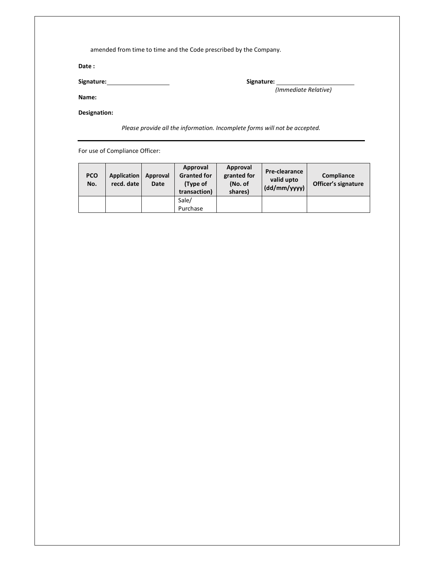| Date:                 |                                                                                                                                                                                                                                |
|-----------------------|--------------------------------------------------------------------------------------------------------------------------------------------------------------------------------------------------------------------------------|
| Signature: Signature: | Signature: the contract of the contract of the contract of the contract of the contract of the contract of the contract of the contract of the contract of the contract of the contract of the contract of the contract of the |
| Name:                 | (Immediate Relative)                                                                                                                                                                                                           |

For use of Compliance Officer:

| <b>PCO</b><br>No. | Application<br>recd. date | Approval<br>Date | Approval<br><b>Granted for</b><br>(Type of<br>transaction) | Approval<br>Pre-clearance<br>granted for<br>(No. of<br>(dd/mm/yyyy)<br>shares) |  | Compliance<br>Officer's signature |
|-------------------|---------------------------|------------------|------------------------------------------------------------|--------------------------------------------------------------------------------|--|-----------------------------------|
|                   |                           |                  | Sale/                                                      |                                                                                |  |                                   |
|                   |                           |                  | Purchase                                                   |                                                                                |  |                                   |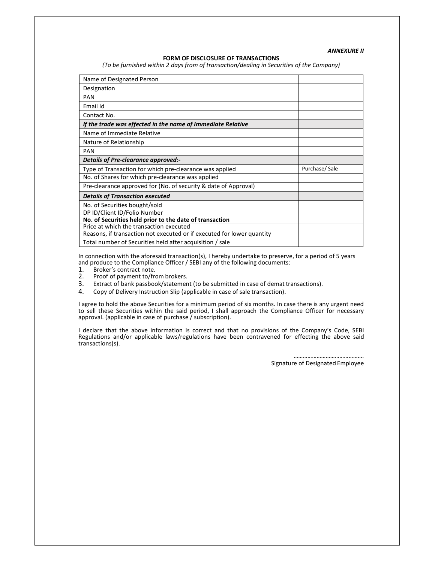*ANNEXURE II* 

#### **FORM OF DISCLOSURE OF TRANSACTIONS**

*(To be furnished within 2 days from of transaction/dealing in Securities of the Company)* 

| Name of Designated Person                                              |               |
|------------------------------------------------------------------------|---------------|
| Designation                                                            |               |
| PAN                                                                    |               |
| Email Id                                                               |               |
| Contact No.                                                            |               |
| If the trade was effected in the name of Immediate Relative            |               |
| Name of Immediate Relative                                             |               |
| Nature of Relationship                                                 |               |
| <b>PAN</b>                                                             |               |
| Details of Pre-clearance approved:-                                    |               |
| Type of Transaction for which pre-clearance was applied                | Purchase/Sale |
| No. of Shares for which pre-clearance was applied                      |               |
| Pre-clearance approved for (No. of security & date of Approval)        |               |
| <b>Details of Transaction executed</b>                                 |               |
| No. of Securities bought/sold                                          |               |
| DP ID/Client ID/Folio Number                                           |               |
| No. of Securities held prior to the date of transaction                |               |
| Price at which the transaction executed                                |               |
| Reasons, if transaction not executed or if executed for lower quantity |               |
| Total number of Securities held after acquisition / sale               |               |

In connection with the aforesaid transaction(s), I hereby undertake to preserve, for a period of 5 years and produce to the Compliance Officer / SEBI any of the following documents:<br>1. Broker's contract note.

- 
- 1. Broker's contract note.<br>2. Proof of payment to/fro 2. Proof of payment to/from brokers.<br>3. Extract of bank passbook/statemen
- Extract of bank passbook/statement (to be submitted in case of demat transactions).
- 4. Copy of Delivery Instruction Slip (applicable in case of sale transaction).

I agree to hold the above Securities for a minimum period of six months. In case there is any urgent need to sell these Securities within the said period, I shall approach the Compliance Officer for necessary approval. (applicable in case of purchase / subscription).

I declare that the above information is correct and that no provisions of the Company's Code, SEBI Regulations and/or applicable laws/regulations have been contravened for effecting the above said transactions(s).

> ………………………………………. Signature of Designated Employee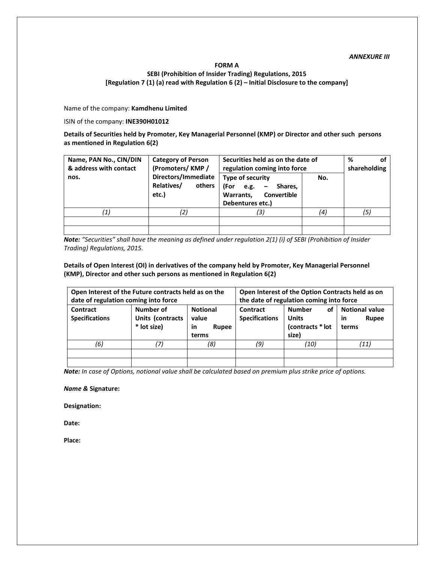### **FORM A SEBI (Prohibition of Insider Trading) Regulations, 2015 [Regulation 7 (1) (a) read with Regulation 6 (2) – Initial Disclosure to the company]**

Name of the company: **Kamdhenu Limited** 

ISIN of the company: **INE390H01012** 

**Details of Securities held by Promoter, Key Managerial Personnel (KMP) or Director and other such persons as mentioned in Regulation 6(2)** 

| Name, PAN No., CIN/DIN<br>& address with contact | <b>Category of Person</b><br>(Promoters/KMP/         | Securities held as on the date of<br>regulation coming into force                        | %<br>οf<br>shareholding |     |
|--------------------------------------------------|------------------------------------------------------|------------------------------------------------------------------------------------------|-------------------------|-----|
| nos.                                             | Directors/Immediate<br>Relatives/<br>others<br>etc.) | Type of security<br>(For e.g.<br>Shares.<br>Warrants,<br>Convertible<br>Debentures etc.) | No.                     |     |
|                                                  |                                                      | '3)                                                                                      | (4)                     | (5) |
|                                                  |                                                      |                                                                                          |                         |     |
|                                                  |                                                      |                                                                                          |                         |     |

*Note: "Securities" shall have the meaning as defined under regulation 2(1) (i) of SEBI (Prohibition of Insider Trading) Regulations, 2015.* 

**Details of Open Interest (OI) in derivatives of the company held by Promoter, Key Managerial Personnel (KMP), Director and other such persons as mentioned in Regulation 6(2)** 

| Open Interest of the Future contracts held as on the |                                              |                                                         | Open Interest of the Option Contracts held as on |                                                                  |                                                      |  |
|------------------------------------------------------|----------------------------------------------|---------------------------------------------------------|--------------------------------------------------|------------------------------------------------------------------|------------------------------------------------------|--|
| date of regulation coming into force                 |                                              |                                                         | the date of regulation coming into force         |                                                                  |                                                      |  |
| Contract<br><b>Specifications</b>                    | Number of<br>Units (contracts<br>* lot size) | <b>Notional</b><br>value<br>in<br><b>Rupee</b><br>terms | Contract<br><b>Specifications</b>                | of<br><b>Number</b><br><b>Units</b><br>(contracts * lot<br>size) | <b>Notional value</b><br><b>Rupee</b><br>in<br>terms |  |
| (6)                                                  |                                              | (8)                                                     | (9)                                              | (10)                                                             | (11)                                                 |  |
|                                                      |                                              |                                                         |                                                  |                                                                  |                                                      |  |
|                                                      |                                              |                                                         |                                                  |                                                                  |                                                      |  |

*Note: In case of Options, notional value shall be calculated based on premium plus strike price of options.* 

*Name &* **Signature:** 

**Designation:** 

**Date:** 

**Place:**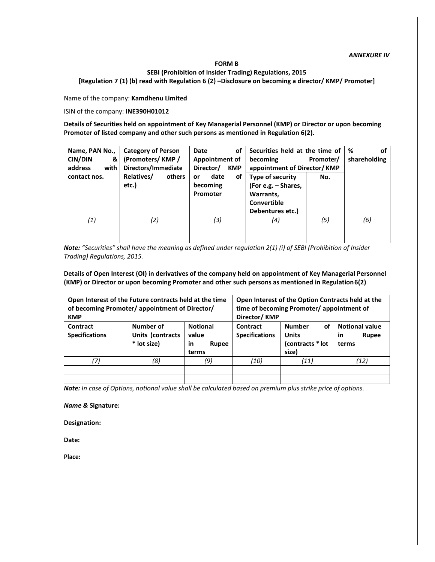#### **FORM B**

**SEBI (Prohibition of Insider Trading) Regulations, 2015** 

**[Regulation 7 (1) (b) read with Regulation 6 (2) –Disclosure on becoming a director/ KMP/ Promoter]** 

Name of the company: **Kamdhenu Limited** 

ISIN of the company: **INE390H01012** 

**Details of Securities held on appointment of Key Managerial Personnel (KMP) or Director or upon becoming Promoter of listed company and other such persons as mentioned in Regulation 6(2).** 

| Name, PAN No.,<br><b>CIN/DIN</b><br>& ।<br>address<br>with | <b>Category of Person</b><br>(Promoters/KMP/<br>Directors/Immediate | of<br>Date<br>Appointment of<br>Director/<br><b>KMP</b> | Securities held at the time of<br>becoming<br>appointment of Director/KMP               | %<br>οf<br>shareholding |     |
|------------------------------------------------------------|---------------------------------------------------------------------|---------------------------------------------------------|-----------------------------------------------------------------------------------------|-------------------------|-----|
| contact nos.                                               | Relatives/<br>others<br>etc.)                                       | date<br>οf<br>or<br>becoming<br>Promoter                | Type of security<br>(For e.g. - Shares,<br>Warrants,<br>Convertible<br>Debentures etc.) | No.                     |     |
| (1)                                                        | (2)                                                                 | (3)                                                     | (4)                                                                                     | (5)                     | (6) |
|                                                            |                                                                     |                                                         |                                                                                         |                         |     |

*Note: "Securities" shall have the meaning as defined under regulation 2(1) (i) of SEBI (Prohibition of Insider Trading) Regulations, 2015.* 

**Details of Open Interest (OI) in derivatives of the company held on appointment of Key Managerial Personnel (KMP) or Director or upon becoming Promoter and other such persons as mentioned in Regulation 6(2)** 

| Open Interest of the Future contracts held at the time<br>of becoming Promoter/ appointment of Director/<br><b>KMP</b> |                                              |     | Open Interest of the Option Contracts held at the<br>time of becoming Promoter/appointment of<br>Director/KMP |                                                                  |                                                             |  |
|------------------------------------------------------------------------------------------------------------------------|----------------------------------------------|-----|---------------------------------------------------------------------------------------------------------------|------------------------------------------------------------------|-------------------------------------------------------------|--|
| Contract<br><b>Specifications</b>                                                                                      | Number of<br>Units (contracts<br>* lot size) |     | Contract<br><b>Specifications</b>                                                                             | οf<br><b>Number</b><br><b>Units</b><br>(contracts * lot<br>size) | <b>Notional value</b><br><b>Rupee</b><br><b>in</b><br>terms |  |
| 17,                                                                                                                    | (8)                                          | (9) | (10)                                                                                                          | (11)                                                             | (12)                                                        |  |
|                                                                                                                        |                                              |     |                                                                                                               |                                                                  |                                                             |  |
|                                                                                                                        |                                              |     |                                                                                                               |                                                                  |                                                             |  |

*Note: In case of Options, notional value shall be calculated based on premium plus strike price of options.* 

*Name &* **Signature:** 

**Designation:** 

**Date:** 

**Place:**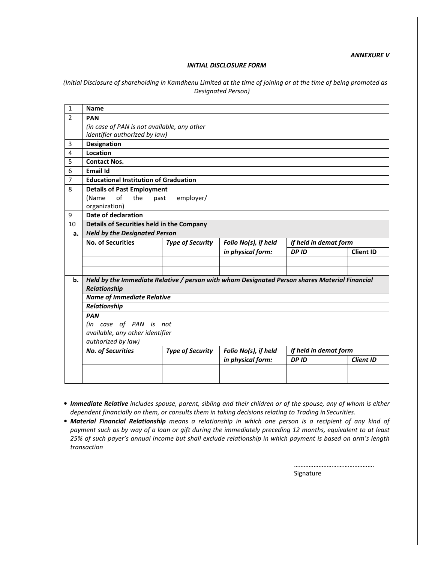*ANNEXURE V* 

#### *INITIAL DISCLOSURE FORM*

*(Initial Disclosure of shareholding in Kamdhenu Limited at the time of joining or at the time of being promoted as Designated Person)* 

| <b>Name</b>              |                                                                         |                                                                                                                                                                                                                                                                                                                                                                  |                                                                                                 |                                                                                               |  |
|--------------------------|-------------------------------------------------------------------------|------------------------------------------------------------------------------------------------------------------------------------------------------------------------------------------------------------------------------------------------------------------------------------------------------------------------------------------------------------------|-------------------------------------------------------------------------------------------------|-----------------------------------------------------------------------------------------------|--|
| <b>PAN</b>               |                                                                         |                                                                                                                                                                                                                                                                                                                                                                  |                                                                                                 |                                                                                               |  |
|                          |                                                                         |                                                                                                                                                                                                                                                                                                                                                                  |                                                                                                 |                                                                                               |  |
| <b>Designation</b>       |                                                                         |                                                                                                                                                                                                                                                                                                                                                                  |                                                                                                 |                                                                                               |  |
| Location                 |                                                                         |                                                                                                                                                                                                                                                                                                                                                                  |                                                                                                 |                                                                                               |  |
| <b>Contact Nos.</b>      |                                                                         |                                                                                                                                                                                                                                                                                                                                                                  |                                                                                                 |                                                                                               |  |
| Email Id                 |                                                                         |                                                                                                                                                                                                                                                                                                                                                                  |                                                                                                 |                                                                                               |  |
|                          |                                                                         |                                                                                                                                                                                                                                                                                                                                                                  |                                                                                                 |                                                                                               |  |
|                          |                                                                         |                                                                                                                                                                                                                                                                                                                                                                  |                                                                                                 |                                                                                               |  |
| of<br>the<br>(Name       | employer/                                                               |                                                                                                                                                                                                                                                                                                                                                                  |                                                                                                 |                                                                                               |  |
|                          |                                                                         |                                                                                                                                                                                                                                                                                                                                                                  |                                                                                                 |                                                                                               |  |
|                          |                                                                         |                                                                                                                                                                                                                                                                                                                                                                  |                                                                                                 |                                                                                               |  |
|                          |                                                                         |                                                                                                                                                                                                                                                                                                                                                                  |                                                                                                 |                                                                                               |  |
|                          |                                                                         |                                                                                                                                                                                                                                                                                                                                                                  |                                                                                                 |                                                                                               |  |
|                          |                                                                         |                                                                                                                                                                                                                                                                                                                                                                  | If held in demat form                                                                           |                                                                                               |  |
|                          |                                                                         |                                                                                                                                                                                                                                                                                                                                                                  | DP ID                                                                                           | <b>Client ID</b>                                                                              |  |
|                          |                                                                         |                                                                                                                                                                                                                                                                                                                                                                  |                                                                                                 |                                                                                               |  |
|                          |                                                                         |                                                                                                                                                                                                                                                                                                                                                                  |                                                                                                 |                                                                                               |  |
| Relationship             |                                                                         |                                                                                                                                                                                                                                                                                                                                                                  |                                                                                                 |                                                                                               |  |
|                          |                                                                         |                                                                                                                                                                                                                                                                                                                                                                  |                                                                                                 |                                                                                               |  |
| Relationship             |                                                                         |                                                                                                                                                                                                                                                                                                                                                                  |                                                                                                 |                                                                                               |  |
| <b>PAN</b>               |                                                                         |                                                                                                                                                                                                                                                                                                                                                                  |                                                                                                 |                                                                                               |  |
|                          |                                                                         |                                                                                                                                                                                                                                                                                                                                                                  |                                                                                                 |                                                                                               |  |
| authorized by law)       |                                                                         |                                                                                                                                                                                                                                                                                                                                                                  |                                                                                                 |                                                                                               |  |
| <b>No. of Securities</b> |                                                                         | Folio No(s), if held                                                                                                                                                                                                                                                                                                                                             | If held in demat form                                                                           |                                                                                               |  |
|                          |                                                                         | in physical form:                                                                                                                                                                                                                                                                                                                                                | DP ID                                                                                           | <b>Client ID</b>                                                                              |  |
|                          |                                                                         |                                                                                                                                                                                                                                                                                                                                                                  |                                                                                                 |                                                                                               |  |
|                          |                                                                         |                                                                                                                                                                                                                                                                                                                                                                  |                                                                                                 |                                                                                               |  |
|                          | organization)<br><b>Date of declaration</b><br><b>No. of Securities</b> | (in case of PAN is not available, any other<br>identifier authorized by law)<br><b>Educational Institution of Graduation</b><br><b>Details of Past Employment</b><br>past<br>Details of Securities held in the Company<br><b>Held by the Designated Person</b><br><b>Name of Immediate Relative</b><br>(in case of PAN is not<br>available, any other identifier | <b>Type of Security</b><br>Folio No(s), if held<br>in physical form:<br><b>Type of Security</b> | Held by the Immediate Relative / person with whom Designated Person shares Material Financial |  |

- *Immediate Relative includes spouse, parent, sibling and their children or of the spouse, any of whom is either dependent financially on them, or consults them in taking decisions relating to Trading in Securities.*
- *Material Financial Relationship means a relationship in which one person is a recipient of any kind of payment such as by way of a loan or gift during the immediately preceding 12 months, equivalent to at least 25% of such payer's annual income but shall exclude relationship in which payment is based on arm's length transaction*

…………………………………………. Signature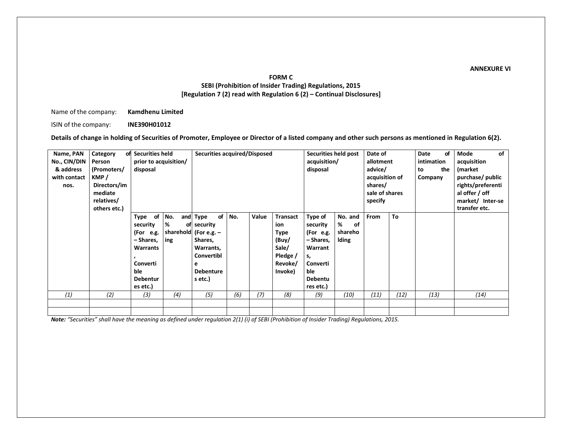#### **ANNEXURE VI**

# **FORM C SEBI (Prohibition of Insider Trading) Regulations, 2015 [Regulation 7 (2) read with Regulation 6 (2) – Continual Disclosures]**

Name of the company: **Kamdhenu Limited** 

ISIN of the company: **INE390H01012** 

**Details of change in holding of Securities of Promoter, Employee or Director of a listed company and other such persons as mentioned in Regulation 6(2).** 

| Name, PAN<br>No., CIN/DIN<br>& address<br>with contact<br>nos. | Category<br>Person<br>(Promoters/<br>KMP/<br>Directors/im<br>mediate<br>relatives/<br>others etc.) | of Securities held<br>prior to acquisition/<br>disposal                                                                      |                 | <b>Securities acquired/Disposed</b>                                                                                                |     |       | Securities held post<br>acquisition/<br>disposal                                   | Date of<br>allotment<br>advice/<br>acquisition of<br>shares/<br>sale of shares<br>specify                        |                                               | Date<br>intimation<br>to<br>Company | of<br>the | of<br>Mode<br>acquisition<br>(market<br>purchase/ public<br>rights/preferenti<br>al offer / off<br>market/ Inter-se<br>transfer etc. |  |      |
|----------------------------------------------------------------|----------------------------------------------------------------------------------------------------|------------------------------------------------------------------------------------------------------------------------------|-----------------|------------------------------------------------------------------------------------------------------------------------------------|-----|-------|------------------------------------------------------------------------------------|------------------------------------------------------------------------------------------------------------------|-----------------------------------------------|-------------------------------------|-----------|--------------------------------------------------------------------------------------------------------------------------------------|--|------|
|                                                                |                                                                                                    | of<br>Type<br>security<br>(For e.g.<br>- Shares,<br><b>Warrants</b><br><b>Converti</b><br>ble<br><b>Debentur</b><br>es etc.) | No.<br>%<br>ing | of<br>and Type<br>of security<br>sharehold (For e.g. $-$<br>Shares,<br>Warrants,<br>Convertibl<br>e<br><b>Debenture</b><br>s etc.) | No. | Value | <b>Transact</b><br>ion<br>Type<br>(Buy/<br>Sale/<br>Pledge /<br>Revoke/<br>Invoke) | Type of<br>security<br>(For e.g.<br>- Shares,<br>Warrant<br>s,<br>Converti<br>ble<br><b>Debentu</b><br>res etc.) | No. and<br>%<br>of<br>shareho<br><b>Iding</b> | <b>From</b>                         | To        |                                                                                                                                      |  |      |
| (1)                                                            | (2)                                                                                                | (3)                                                                                                                          | (4)             | (5)                                                                                                                                | (6) | (7)   | (8)                                                                                | (9)                                                                                                              | (10)                                          | (11)                                | (12)      | (13)                                                                                                                                 |  | (14) |
|                                                                |                                                                                                    |                                                                                                                              |                 |                                                                                                                                    |     |       |                                                                                    |                                                                                                                  |                                               |                                     |           |                                                                                                                                      |  |      |

*Note: "Securities" shall have the meaning as defined under regulation 2(1) (i) of SEBI (Prohibition of Insider Trading) Regulations, 2015.*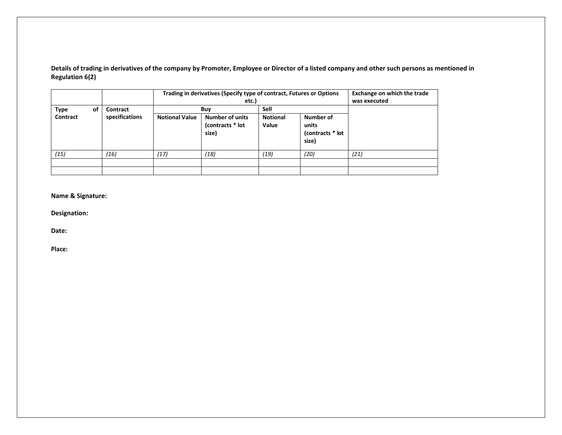**Details of trading in derivatives of the company by Promoter, Employee or Director of a listed company and other such persons as mentioned in Regulation 6(2)** 

|             |    |                |                       | Trading in derivatives (Specify type of contract, Futures or Options<br>etc.) | <b>Exchange on which the trade</b><br>was executed |                                                 |      |
|-------------|----|----------------|-----------------------|-------------------------------------------------------------------------------|----------------------------------------------------|-------------------------------------------------|------|
| <b>Type</b> | οf | Contract       |                       | Buy                                                                           | <b>Sell</b>                                        |                                                 |      |
| Contract    |    | specifications | <b>Notional Value</b> | <b>Number of units</b><br>(contracts * lot<br>size)                           |                                                    | Number of<br>units<br>(contracts * lot<br>size) |      |
| (15)        |    | (16)           | (17)                  | (18)                                                                          | (19)                                               | (20)                                            | (21) |
|             |    |                |                       |                                                                               |                                                    |                                                 |      |
|             |    |                |                       |                                                                               |                                                    |                                                 |      |

**Name & Signature:** 

**Designation:** 

**Date:** 

**Place:**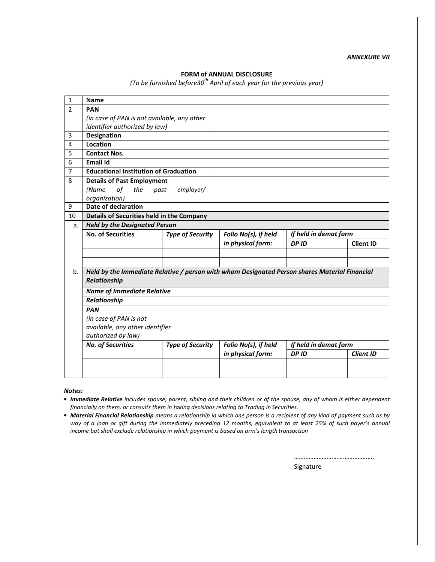### **FORM of ANNUAL DISCLOSURE**

*(To be furnished before30th April of each year for the previous year)* 

| 1              | <b>Name</b>                                                                                                   |                         |                      |                       |                  |
|----------------|---------------------------------------------------------------------------------------------------------------|-------------------------|----------------------|-----------------------|------------------|
| $\mathfrak{p}$ | <b>PAN</b>                                                                                                    |                         |                      |                       |                  |
|                | (in case of PAN is not available, any other                                                                   |                         |                      |                       |                  |
|                | identifier authorized by law)                                                                                 |                         |                      |                       |                  |
| 3              | <b>Designation</b>                                                                                            |                         |                      |                       |                  |
| 4              | Location                                                                                                      |                         |                      |                       |                  |
| 5              | <b>Contact Nos.</b>                                                                                           |                         |                      |                       |                  |
| 6              | <b>Email Id</b>                                                                                               |                         |                      |                       |                  |
| 7              | <b>Educational Institution of Graduation</b>                                                                  |                         |                      |                       |                  |
| 8              | <b>Details of Past Employment</b>                                                                             |                         |                      |                       |                  |
|                | (Name<br>of<br>the                                                                                            | employer/<br>past       |                      |                       |                  |
|                | organization)                                                                                                 |                         |                      |                       |                  |
| 9              | <b>Date of declaration</b>                                                                                    |                         |                      |                       |                  |
| 10             | Details of Securities held in the Company                                                                     |                         |                      |                       |                  |
| a.             | <b>Held by the Designated Person</b>                                                                          |                         |                      |                       |                  |
|                | <b>No. of Securities</b>                                                                                      | <b>Type of Security</b> | Folio No(s), if held | If held in demat form |                  |
|                |                                                                                                               |                         | in physical form:    | DP ID                 | <b>Client ID</b> |
|                |                                                                                                               |                         |                      |                       |                  |
|                |                                                                                                               |                         |                      |                       |                  |
|                |                                                                                                               |                         |                      |                       |                  |
| b.             | Held by the Immediate Relative / person with whom Designated Person shares Material Financial<br>Relationship |                         |                      |                       |                  |
|                | <b>Name of Immediate Relative</b>                                                                             |                         |                      |                       |                  |
|                | Relationship                                                                                                  |                         |                      |                       |                  |
|                | <b>PAN</b>                                                                                                    |                         |                      |                       |                  |
|                | (in case of PAN is not                                                                                        |                         |                      |                       |                  |
|                | available, any other identifier<br>authorized by law)                                                         |                         |                      |                       |                  |
|                | <b>No. of Securities</b>                                                                                      | <b>Type of Security</b> | Folio No(s), if held | If held in demat form |                  |
|                |                                                                                                               |                         | in physical form:    | DP ID                 | <b>Client ID</b> |
|                |                                                                                                               |                         |                      |                       |                  |

*Notes:* 

• *Immediate Relative includes spouse, parent, sibling and their children or of the spouse, any of whom is either dependent financially on them, or consults them in taking decisions relating to Trading in Securities.*

• *Material Financial Relationship means a relationship in which one person is a recipient of any kind of payment such as by way of a loan or gift during the immediately preceding 12 months, equivalent to at least 25% of such payer's annual income but shall exclude relationship in which payment is based on arm's length transaction*

Signature

………………………………………….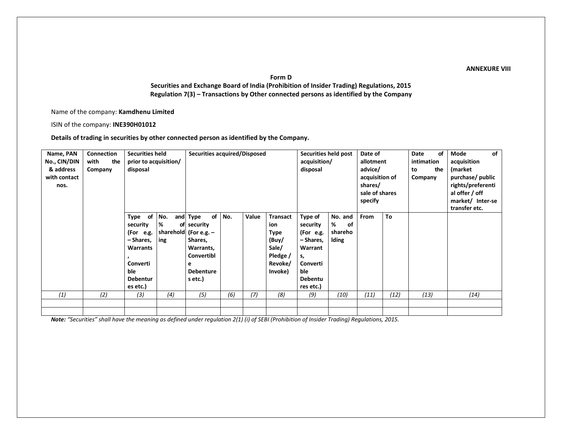#### **ANNEXURE VIII**

**Form D** 

 **Securities and Exchange Board of India (Prohibition of Insider Trading) Regulations, 2015 Regulation 7(3) – Transactions by Other connected persons as identified by the Company** 

Name of the company: **Kamdhenu Limited** 

ISIN of the company: **INE390H01012** 

**Details of trading in securities by other connected person as identified by the Company.** 

| Name, PAN<br>No., CIN/DIN<br>& address<br>with contact<br>nos. | <b>Connection</b><br>with<br>the<br>Company | <b>Securities held</b><br>prior to acquisition/<br>disposal                                                        |                 | Securities acquired/Disposed                                                                                                       |     |       | Securities held post<br>acquisition/<br>disposal                                          |                                                                                                                  | Date of<br>allotment<br>advice/<br>acquisition of<br>shares/<br>sale of shares<br>specify |      | Date<br>intimation<br>to<br>Company | of<br>the | of<br>Mode<br>acquisition<br>(market<br>purchase/ public<br>rights/preferenti<br>al offer / off<br>market/ Inter-se<br>transfer etc. |      |
|----------------------------------------------------------------|---------------------------------------------|--------------------------------------------------------------------------------------------------------------------|-----------------|------------------------------------------------------------------------------------------------------------------------------------|-----|-------|-------------------------------------------------------------------------------------------|------------------------------------------------------------------------------------------------------------------|-------------------------------------------------------------------------------------------|------|-------------------------------------|-----------|--------------------------------------------------------------------------------------------------------------------------------------|------|
|                                                                |                                             | Type of<br>security<br>(For e.g.<br>– Shares,<br><b>Warrants</b><br>Converti<br>ble<br><b>Debentur</b><br>es etc.) | No.<br>%<br>ing | of<br>and Type<br>of security<br>sharehold (For e.g. $-$<br>Shares,<br>Warrants,<br>Convertibl<br>е<br><b>Debenture</b><br>s etc.) | No. | Value | <b>Transact</b><br>ion<br><b>Type</b><br>(Buy/<br>Sale/<br>Pledge /<br>Revoke/<br>Invoke) | Type of<br>security<br>(For e.g.<br>- Shares,<br>Warrant<br>s,<br>Converti<br>ble<br><b>Debentu</b><br>res etc.) | No. and<br>%<br>of<br>shareho<br><b>Iding</b>                                             | From | To                                  |           |                                                                                                                                      |      |
| (1)                                                            | (2)                                         | (3)                                                                                                                | (4)             | (5)                                                                                                                                | (6) | (7)   | (8)                                                                                       | (9)                                                                                                              | (10)                                                                                      | (11) | (12)                                | (13)      |                                                                                                                                      | (14) |
|                                                                |                                             |                                                                                                                    |                 |                                                                                                                                    |     |       |                                                                                           |                                                                                                                  |                                                                                           |      |                                     |           |                                                                                                                                      |      |
|                                                                |                                             |                                                                                                                    |                 |                                                                                                                                    |     |       |                                                                                           |                                                                                                                  |                                                                                           |      |                                     |           |                                                                                                                                      |      |

*Note: "Securities" shall have the meaning as defined under regulation 2(1) (i) of SEBI (Prohibition of Insider Trading) Regulations, 2015.*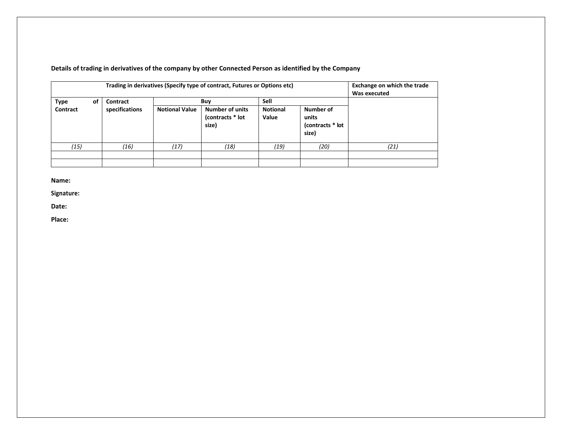| of<br><b>Type</b> | Contract       |                       | Trading in derivatives (Specify type of contract, Futures or Options etc)<br>Buy | Sell                     |                                                 | Exchange on which the trade<br>Was executed |
|-------------------|----------------|-----------------------|----------------------------------------------------------------------------------|--------------------------|-------------------------------------------------|---------------------------------------------|
| Contract          | specifications | <b>Notional Value</b> | <b>Number of units</b><br>(contracts * lot<br>size)                              | <b>Notional</b><br>Value | Number of<br>units<br>(contracts * lot<br>size) |                                             |
| (15)              | (16)           | (17)                  | (18)                                                                             | (19)                     | (20)                                            | (21)                                        |
|                   |                |                       |                                                                                  |                          |                                                 |                                             |

**Details of trading in derivatives of the company by other Connected Person as identified by the Company** 

**Name:** 

**Signature:** 

**Date:** 

**Place:**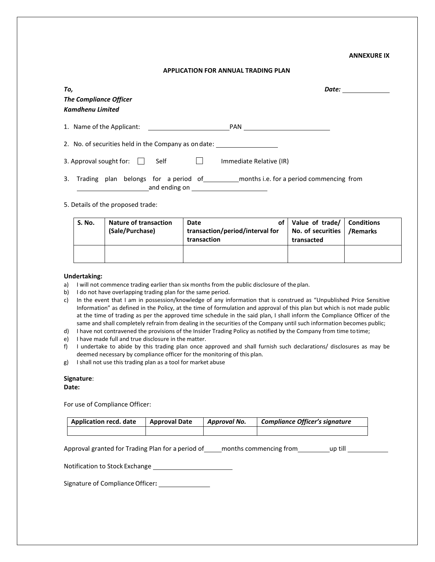#### **ANNEXURE IX**

#### **APPLICATION FOR ANNUAL TRADING PLAN**

| To,<br><b>The Compliance Officer</b><br><b>Kamdhenu Limited</b>                                                                                                                                                                                                                                                        | Date: |
|------------------------------------------------------------------------------------------------------------------------------------------------------------------------------------------------------------------------------------------------------------------------------------------------------------------------|-------|
| 1. Name of the Applicant:<br>PAN                                                                                                                                                                                                                                                                                       |       |
| 2. No. of securities held in the Company as on date:                                                                                                                                                                                                                                                                   |       |
| 3. Approval sought for: $\Box$<br>Self<br>Immediate Relative (IR)                                                                                                                                                                                                                                                      |       |
| _months i.e. for a period commencing from<br>3. Trading plan belongs for a period of<br>and ending on the control of the control of the control of the control of the control of the control of the control of the control of the control of the control of the control of the control of the control of the control o |       |

#### 5. Details of the proposed trade:

| S. No. | <b>Nature of transaction</b><br>(Sale/Purchase) | Date<br>transaction/period/interval for<br>transaction | of   Value of trade/   Conditions<br>No. of securities<br>transacted | /Remarks |
|--------|-------------------------------------------------|--------------------------------------------------------|----------------------------------------------------------------------|----------|
|        |                                                 |                                                        |                                                                      |          |

#### **Undertaking:**

- a) I will not commence trading earlier than six months from the public disclosure of the plan.
- b) I do not have overlapping trading plan for the same period.
- c) In the event that I am in possession/knowledge of any information that is construed as "Unpublished Price Sensitive Information" as defined in the Policy, at the time of formulation and approval of this plan but which is not made public at the time of trading as per the approved time schedule in the said plan, I shall inform the Compliance Officer of the same and shall completely refrain from dealing in the securities of the Company until such information becomes public;
- d) I have not contravened the provisions of the Insider Trading Policy as notified by the Company from time to time;
- e) I have made full and true disclosure in the matter.
- f) I undertake to abide by this trading plan once approved and shall furnish such declarations/ disclosures as may be deemed necessary by compliance officer for the monitoring of this plan.
- g) I shall not use this trading plan as a tool for market abuse

#### **Signature**:

#### **Date:**

For use of Compliance Officer:

| <b>Application recd. date</b> | <b>Approval Date</b> | Approval No. | <b>Compliance Officer's signature</b> |
|-------------------------------|----------------------|--------------|---------------------------------------|
|                               |                      |              |                                       |

Approval granted for Trading Plan for a period of \_\_\_\_\_ months commencing from \_\_\_\_\_\_\_\_\_\_\_\_\_\_\_\_\_\_\_\_\_\_\_\_\_\_\_\_\_\_\_

Notification to Stock Exchange

Signature of Compliance Officer**:**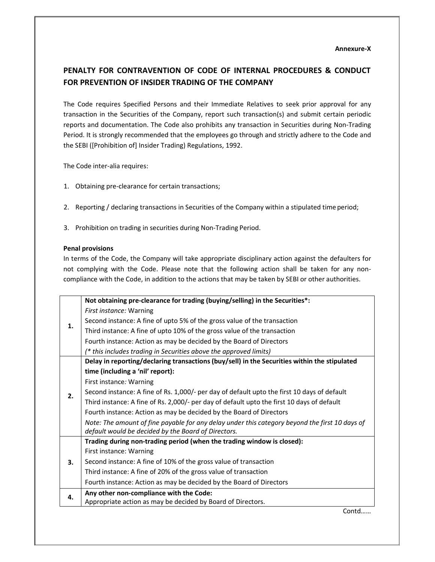# **PENALTY FOR CONTRAVENTION OF CODE OF INTERNAL PROCEDURES & CONDUCT FOR PREVENTION OF INSIDER TRADING OF THE COMPANY**

The Code requires Specified Persons and their Immediate Relatives to seek prior approval for any transaction in the Securities of the Company, report such transaction(s) and submit certain periodic reports and documentation. The Code also prohibits any transaction in Securities during Non-Trading Period. It is strongly recommended that the employees go through and strictly adhere to the Code and the SEBI ([Prohibition of] Insider Trading) Regulations, 1992.

The Code inter-alia requires:

- 1. Obtaining pre-clearance for certain transactions;
- 2. Reporting / declaring transactions in Securities of the Company within a stipulated time period;
- 3. Prohibition on trading in securities during Non-Trading Period.

#### **Penal provisions**

In terms of the Code, the Company will take appropriate disciplinary action against the defaulters for not complying with the Code. Please note that the following action shall be taken for any noncompliance with the Code, in addition to the actions that may be taken by SEBI or other authorities.

|    | Not obtaining pre-clearance for trading (buying/selling) in the Securities*:                                                                          |
|----|-------------------------------------------------------------------------------------------------------------------------------------------------------|
|    | First instance: Warning                                                                                                                               |
| 1. | Second instance: A fine of upto 5% of the gross value of the transaction                                                                              |
|    | Third instance: A fine of upto 10% of the gross value of the transaction                                                                              |
|    | Fourth instance: Action as may be decided by the Board of Directors                                                                                   |
|    | (* this includes trading in Securities above the approved limits)                                                                                     |
|    | Delay in reporting/declaring transactions (buy/sell) in the Securities within the stipulated                                                          |
|    | time (including a 'nil' report):                                                                                                                      |
|    | First instance: Warning                                                                                                                               |
| 2. | Second instance: A fine of Rs. 1,000/- per day of default upto the first 10 days of default                                                           |
|    | Third instance: A fine of Rs. 2,000/- per day of default upto the first 10 days of default                                                            |
|    | Fourth instance: Action as may be decided by the Board of Directors                                                                                   |
|    | Note: The amount of fine payable for any delay under this category beyond the first 10 days of<br>default would be decided by the Board of Directors. |
|    | Trading during non-trading period (when the trading window is closed):                                                                                |
|    | First instance: Warning                                                                                                                               |
| 3. | Second instance: A fine of 10% of the gross value of transaction                                                                                      |
|    | Third instance: A fine of 20% of the gross value of transaction                                                                                       |
|    | Fourth instance: Action as may be decided by the Board of Directors                                                                                   |
| 4. | Any other non-compliance with the Code:                                                                                                               |
|    | Appropriate action as may be decided by Board of Directors.                                                                                           |

Contd……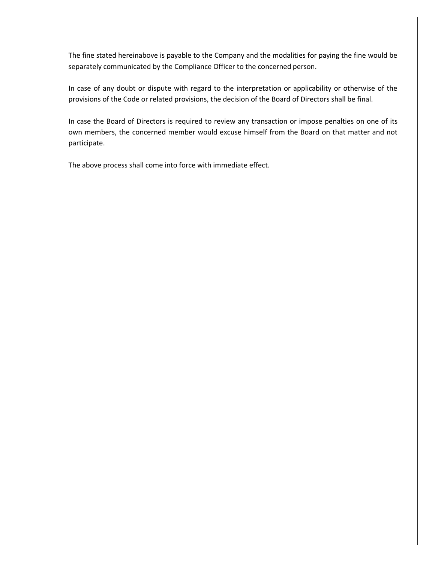The fine stated hereinabove is payable to the Company and the modalities for paying the fine would be separately communicated by the Compliance Officer to the concerned person.

In case of any doubt or dispute with regard to the interpretation or applicability or otherwise of the provisions of the Code or related provisions, the decision of the Board of Directors shall be final.

In case the Board of Directors is required to review any transaction or impose penalties on one of its own members, the concerned member would excuse himself from the Board on that matter and not participate.

The above process shall come into force with immediate effect.